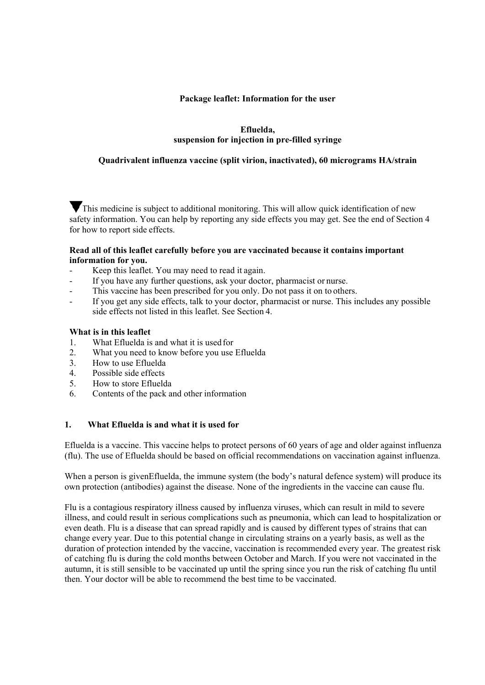### **Package leaflet: Information for the user**

## **Efluelda, suspension for injection in pre-filled syringe**

## **Quadrivalent influenza vaccine (split virion, inactivated), 60 micrograms HA/strain**

This medicine is subject to additional monitoring. This will allow quick identification of new safety information. You can help by reporting any side effects you may get. See the end of Section 4 for how to report side effects.

#### **Read all of this leaflet carefully before you are vaccinated because it contains important information for you.**

- Keep this leaflet. You may need to read it again.
- If you have any further questions, ask your doctor, pharmacist or nurse.
- This vaccine has been prescribed for you only. Do not pass it on to others.
- If you get any side effects, talk to your doctor, pharmacist or nurse. This includes any possible side effects not listed in this leaflet. See Section 4.

#### **What is in this leaflet**

- 1. What Efluelda is and what it is used for
- 2. What you need to know before you use Efluelda
- 3. How to use Efluelda
- 4. Possible side effects
- 5. How to store Efluelda
- 6. Contents of the pack and other information

### **1. What Efluelda is and what it is used for**

Efluelda is a vaccine. This vaccine helps to protect persons of 60 years of age and older against influenza (flu). The use of Efluelda should be based on official recommendations on vaccination against influenza.

When a person is given Effluelda, the immune system (the body's natural defence system) will produce its own protection (antibodies) against the disease. None of the ingredients in the vaccine can cause flu.

Flu is a contagious respiratory illness caused by influenza viruses, which can result in mild to severe illness, and could result in serious complications such as pneumonia, which can lead to hospitalization or even death. Flu is a disease that can spread rapidly and is caused by different types of strains that can change every year. Due to this potential change in circulating strains on a yearly basis, as well as the duration of protection intended by the vaccine, vaccination is recommended every year. The greatest risk of catching flu is during the cold months between October and March. If you were not vaccinated in the autumn, it is still sensible to be vaccinated up until the spring since you run the risk of catching flu until then. Your doctor will be able to recommend the best time to be vaccinated.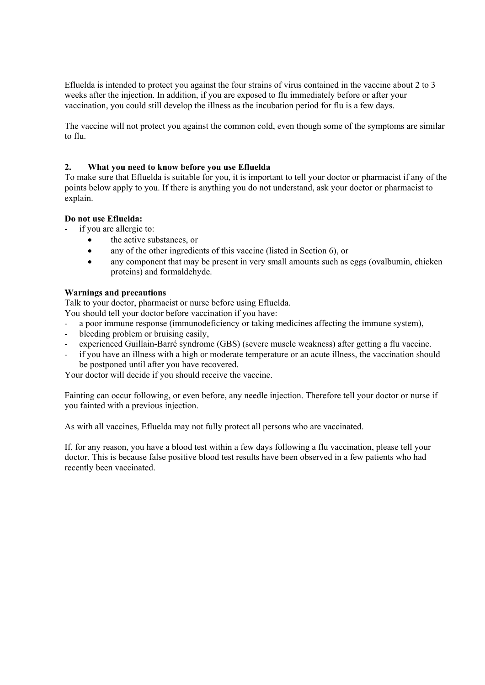Efluelda is intended to protect you against the four strains of virus contained in the vaccine about 2 to 3 weeks after the injection. In addition, if you are exposed to flu immediately before or after your vaccination, you could still develop the illness as the incubation period for flu is a few days.

The vaccine will not protect you against the common cold, even though some of the symptoms are similar to flu.

## **2. What you need to know before you use Efluelda**

To make sure that Efluelda is suitable for you, it is important to tell your doctor or pharmacist if any of the points below apply to you. If there is anything you do not understand, ask your doctor or pharmacist to explain.

#### **Do not use Efluelda:**

if you are allergic to:

- the active substances, or
- any of the other ingredients of this vaccine (listed in Section 6), or
- any component that may be present in very small amounts such as eggs (ovalbumin, chicken proteins) and formaldehyde.

## **Warnings and precautions**

Talk to your doctor, pharmacist or nurse before using Efluelda.

- You should tell your doctor before vaccination if you have:
- a poor immune response (immunodeficiency or taking medicines affecting the immune system),
- bleeding problem or bruising easily,
- experienced Guillain-Barré syndrome (GBS) (severe muscle weakness) after getting a flu vaccine.
- if you have an illness with a high or moderate temperature or an acute illness, the vaccination should be postponed until after you have recovered.

Your doctor will decide if you should receive the vaccine.

Fainting can occur following, or even before, any needle injection. Therefore tell your doctor or nurse if you fainted with a previous injection.

As with all vaccines, Efluelda may not fully protect all persons who are vaccinated.

If, for any reason, you have a blood test within a few days following a flu vaccination, please tell your doctor. This is because false positive blood test results have been observed in a few patients who had recently been vaccinated.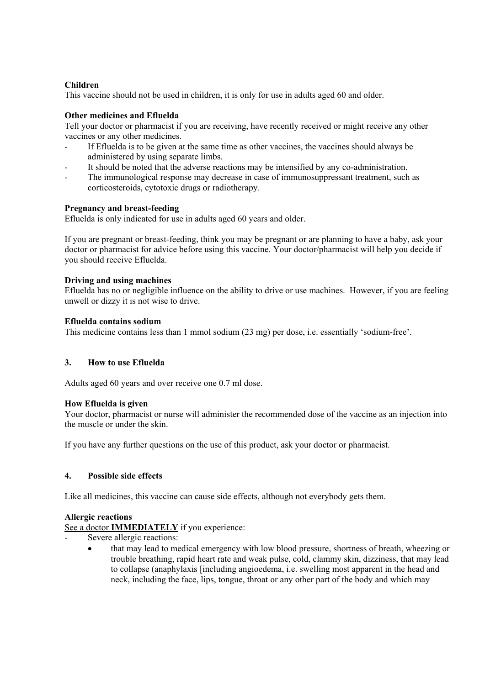## **Children**

This vaccine should not be used in children, it is only for use in adults aged 60 and older.

## **Other medicines and Efluelda**

Tell your doctor or pharmacist if you are receiving, have recently received or might receive any other vaccines or any other medicines.

- If Efluelda is to be given at the same time as other vaccines, the vaccines should always be administered by using separate limbs.
- It should be noted that the adverse reactions may be intensified by any co-administration.
- The immunological response may decrease in case of immunosuppressant treatment, such as corticosteroids, cytotoxic drugs or radiotherapy.

## **Pregnancy and breast-feeding**

Efluelda is only indicated for use in adults aged 60 years and older.

If you are pregnant or breast-feeding, think you may be pregnant or are planning to have a baby, ask your doctor or pharmacist for advice before using this vaccine. Your doctor/pharmacist will help you decide if you should receive Efluelda.

## **Driving and using machines**

Efluelda has no or negligible influence on the ability to drive or use machines. However, if you are feeling unwell or dizzy it is not wise to drive.

## **Efluelda contains sodium**

This medicine contains less than 1 mmol sodium (23 mg) per dose, i.e. essentially 'sodium-free'.

### **3. How to use Efluelda**

Adults aged 60 years and over receive one 0.7 ml dose.

#### **How Efluelda is given**

Your doctor, pharmacist or nurse will administer the recommended dose of the vaccine as an injection into the muscle or under the skin.

If you have any further questions on the use of this product, ask your doctor or pharmacist.

## **4. Possible side effects**

Like all medicines, this vaccine can cause side effects, although not everybody gets them.

#### **Allergic reactions**

See a doctor **IMMEDIATELY** if you experience:

- Severe allergic reactions:
	- that may lead to medical emergency with low blood pressure, shortness of breath, wheezing or trouble breathing, rapid heart rate and weak pulse, cold, clammy skin, dizziness, that may lead to collapse (anaphylaxis [including angioedema, i.e. swelling most apparent in the head and neck, including the face, lips, tongue, throat or any other part of the body and which may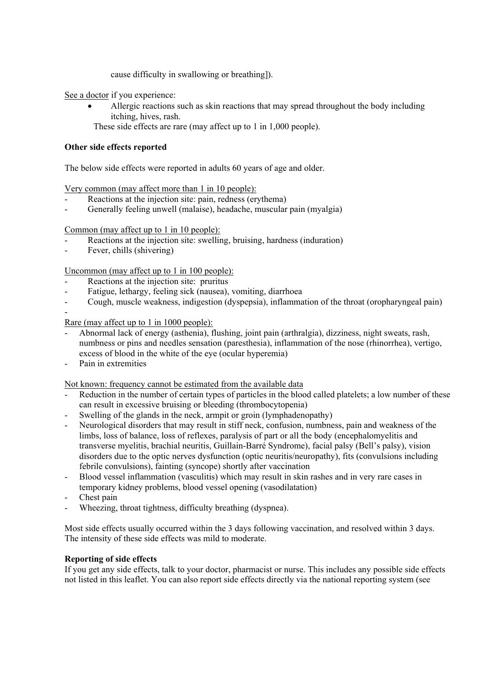cause difficulty in swallowing or breathing]).

See a doctor if you experience:

- Allergic reactions such as skin reactions that may spread throughout the body including itching, hives, rash.
- These side effects are rare (may affect up to 1 in 1,000 people).

## **Other side effects reported**

The below side effects were reported in adults 60 years of age and older.

Very common (may affect more than 1 in 10 people):

- Reactions at the injection site: pain, redness (erythema)
- Generally feeling unwell (malaise), headache, muscular pain (myalgia)

Common (may affect up to 1 in 10 people):

- Reactions at the injection site: swelling, bruising, hardness (induration)
- Fever, chills (shivering)

Uncommon (may affect up to 1 in 100 people):

- Reactions at the injection site: pruritus
- Fatigue, lethargy, feeling sick (nausea), vomiting, diarrhoea
- Cough, muscle weakness, indigestion (dyspepsia), inflammation of the throat (oropharyngeal pain)

Rare (may affect up to 1 in 1000 people):

- Abnormal lack of energy (asthenia), flushing, joint pain (arthralgia), dizziness, night sweats, rash, numbness or pins and needles sensation (paresthesia), inflammation of the nose (rhinorrhea), vertigo, excess of blood in the white of the eye (ocular hyperemia)
- Pain in extremities

-

Not known: frequency cannot be estimated from the available data

- Reduction in the number of certain types of particles in the blood called platelets; a low number of these can result in excessive bruising or bleeding (thrombocytopenia)
- Swelling of the glands in the neck, armpit or groin (lymphadenopathy)
- Neurological disorders that may result in stiff neck, confusion, numbness, pain and weakness of the limbs, loss of balance, loss of reflexes, paralysis of part or all the body (encephalomyelitis and transverse myelitis, brachial neuritis, Guillain-Barré Syndrome), facial palsy (Bell's palsy), vision disorders due to the optic nerves dysfunction (optic neuritis/neuropathy), fits (convulsions including febrile convulsions), fainting (syncope) shortly after vaccination
- Blood vessel inflammation (vasculitis) which may result in skin rashes and in very rare cases in temporary kidney problems, blood vessel opening (vasodilatation)
- Chest pain
- Wheezing, throat tightness, difficulty breathing (dyspnea).

Most side effects usually occurred within the 3 days following vaccination, and resolved within 3 days. The intensity of these side effects was mild to moderate.

#### **Reporting of side effects**

If you get any side effects, talk to your doctor, pharmacist or nurse. This includes any possible side effects not listed in this leaflet. You can also report side effects directly via the national reporting system (see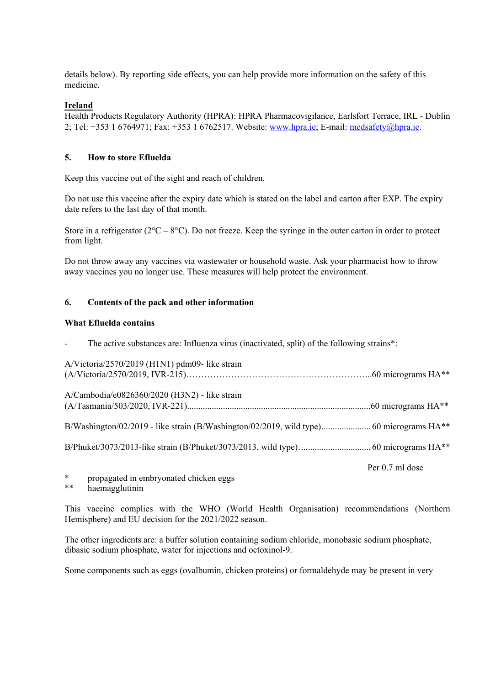details below). By reporting side effects, you can help provide more information on the safety of this medicine.

## **Ireland**

Health Products Regulatory Authority (HPRA): HPRA Pharmacovigilance, Earlsfort Terrace, IRL - Dublin 2; Tel: +353 1 6764971; Fax: +353 1 6762517. Website: www.hpra.ie; E-mail: medsafety@hpra.ie.

## **5. How to store Efluelda**

Keep this vaccine out of the sight and reach of children.

Do not use this vaccine after the expiry date which is stated on the label and carton after EXP. The expiry date refers to the last day of that month.

Store in a refrigerator ( $2^{\circ}\text{C} - 8^{\circ}\text{C}$ ). Do not freeze. Keep the syringe in the outer carton in order to protect from light.

Do not throw away any vaccines via wastewater or household waste. Ask your pharmacist how to throw away vaccines you no longer use. These measures will help protect the environment.

## **6. Contents of the pack and other information**

#### **What Efluelda contains**

The active substances are: Influenza virus (inactivated, split) of the following strains\*:

| A/Victoria/2570/2019 (H1N1) pdm09- like strain |  |
|------------------------------------------------|--|
| A/Cambodia/e0826360/2020 (H3N2) - like strain  |  |
|                                                |  |
|                                                |  |

Per 0.7 ml dose

- \* propagated in embryonated chicken eggs<br>\*\* becaused utinin
- haemagglutinin

This vaccine complies with the WHO (World Health Organisation) recommendations (Northern Hemisphere) and EU decision for the 2021/2022 season.

The other ingredients are: a buffer solution containing sodium chloride, monobasic sodium phosphate, dibasic sodium phosphate, water for injections and octoxinol-9.

Some components such as eggs (ovalbumin, chicken proteins) or formaldehyde may be present in very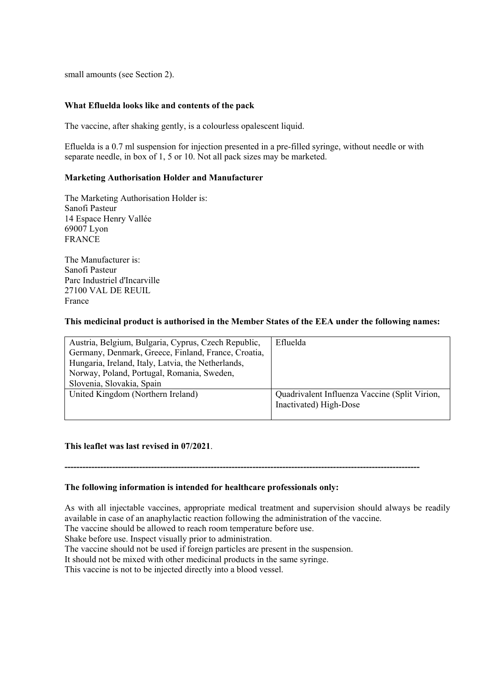small amounts (see Section 2).

#### **What Efluelda looks like and contents of the pack**

The vaccine, after shaking gently, is a colourless opalescent liquid.

Efluelda is a 0.7 ml suspension for injection presented in a pre-filled syringe, without needle or with separate needle, in box of 1, 5 or 10. Not all pack sizes may be marketed.

#### **Marketing Authorisation Holder and Manufacturer**

The Marketing Authorisation Holder is: Sanofi Pasteur 14 Espace Henry Vallée 69007 Lyon FRANCE

The Manufacturer is: Sanofi Pasteur Parc Industriel d'Incarville 27100 VAL DE REUIL France

#### **This medicinal product is authorised in the Member States of the EEA under the following names:**

| Austria, Belgium, Bulgaria, Cyprus, Czech Republic, | Efluelda                                      |
|-----------------------------------------------------|-----------------------------------------------|
| Germany, Denmark, Greece, Finland, France, Croatia, |                                               |
| Hungaria, Ireland, Italy, Latvia, the Netherlands,  |                                               |
| Norway, Poland, Portugal, Romania, Sweden,          |                                               |
| Slovenia, Slovakia, Spain                           |                                               |
| United Kingdom (Northern Ireland)                   | Quadrivalent Influenza Vaccine (Split Virion, |
|                                                     | Inactivated) High-Dose                        |
|                                                     |                                               |

#### **This leaflet was last revised in 07/2021**.

# **The following information is intended for healthcare professionals only:**

As with all injectable vaccines, appropriate medical treatment and supervision should always be readily available in case of an anaphylactic reaction following the administration of the vaccine.

**-----------------------------------------------------------------------------------------------------------------------** 

The vaccine should be allowed to reach room temperature before use.

Shake before use. Inspect visually prior to administration.

The vaccine should not be used if foreign particles are present in the suspension.

It should not be mixed with other medicinal products in the same syringe.

This vaccine is not to be injected directly into a blood vessel.